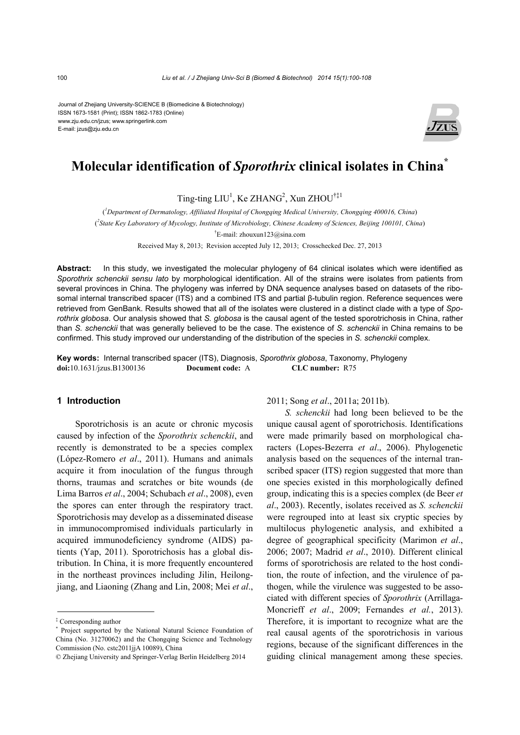#### Journal of Zhejiang University-SCIENCE B (Biomedicine & Biotechnology) ISSN 1673-1581 (Print); ISSN 1862-1783 (Online) www.zju.edu.cn/jzus; www.springerlink.com E-mail: jzus@zju.edu.cn



# **Molecular identification of** *Sporothrix* **clinical isolates in China\***

Ting-ting  $LIU<sup>1</sup>$ , Ke ZHANG<sup>2</sup>, Xun ZHOU<sup>†‡1</sup>

( *1 Department of Dermatology, Affiliated Hospital of Chongqing Medical University, Chongqing 400016, China*) ( *2 State Key Laboratory of Mycology, Institute of Microbiology, Chinese Academy of Sciences, Beijing 100101, China*) † E-mail: zhouxun123@sina.com

Received May 8, 2013; Revision accepted July 12, 2013; Crosschecked Dec. 27, 2013

**Abstract:** In this study, we investigated the molecular phylogeny of 64 clinical isolates which were identified as *Sporothrix schenckii sensu lato* by morphological identification. All of the strains were isolates from patients from several provinces in China. The phylogeny was inferred by DNA sequence analyses based on datasets of the ribosomal internal transcribed spacer (ITS) and a combined ITS and partial β-tubulin region. Reference sequences were retrieved from GenBank. Results showed that all of the isolates were clustered in a distinct clade with a type of *Sporothrix globosa*. Our analysis showed that *S. globosa* is the causal agent of the tested sporotrichosis in China, rather than *S. schenckii* that was generally believed to be the case. The existence of *S. schenckii* in China remains to be confirmed. This study improved our understanding of the distribution of the species in *S. schenckii* complex.

**Key words:** Internal transcribed spacer (ITS), Diagnosis, *Sporothrix globosa*, Taxonomy, Phylogeny **doi:**10.1631/jzus.B1300136 **Document code:** A **CLC number:** R75

### **1 Introduction**

Sporotrichosis is an acute or chronic mycosis caused by infection of the *Sporothrix schenckii*, and recently is demonstrated to be a species complex (López-Romero *et al*., 2011). Humans and animals acquire it from inoculation of the fungus through thorns, traumas and scratches or bite wounds (de Lima Barros *et al*., 2004; Schubach *et al*., 2008), even the spores can enter through the respiratory tract. Sporotrichosis may develop as a disseminated disease in immunocompromised individuals particularly in acquired immunodeficiency syndrome (AIDS) patients (Yap, 2011). Sporotrichosis has a global distribution. In China, it is more frequently encountered in the northeast provinces including Jilin, Heilongjiang, and Liaoning (Zhang and Lin, 2008; Mei *et al*.,

2011; Song *et al*., 2011a; 2011b).

*S. schenckii* had long been believed to be the unique causal agent of sporotrichosis. Identifications were made primarily based on morphological characters (Lopes-Bezerra *et al*., 2006). Phylogenetic analysis based on the sequences of the internal transcribed spacer (ITS) region suggested that more than one species existed in this morphologically defined group, indicating this is a species complex (de Beer *et al*., 2003). Recently, isolates received as *S. schenckii* were regrouped into at least six cryptic species by multilocus phylogenetic analysis, and exhibited a degree of geographical specificity (Marimon *et al*., 2006; 2007; Madrid *et al*., 2010). Different clinical forms of sporotrichosis are related to the host condition, the route of infection, and the virulence of pathogen, while the virulence was suggested to be associated with different species of *Sporothrix* (Arrillaga-Moncrieff *et al*., 2009; Fernandes *et al.*, 2013). Therefore, it is important to recognize what are the real causal agents of the sporotrichosis in various regions, because of the significant differences in the guiding clinical management among these species.

<sup>‡</sup> Corresponding author

<sup>\*</sup> Project supported by the National Natural Science Foundation of China (No. 31270062) and the Chongqing Science and Technology Commission (No. cstc2011jjA 10089), China

<sup>©</sup> Zhejiang University and Springer-Verlag Berlin Heidelberg 2014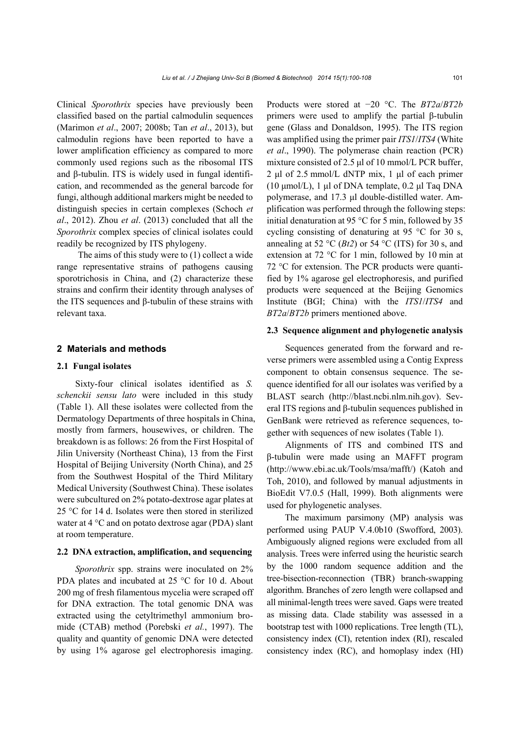Clinical *Sporothrix* species have previously been classified based on the partial calmodulin sequences (Marimon *et al*., 2007; 2008b; Tan *et al*., 2013), but calmodulin regions have been reported to have a lower amplification efficiency as compared to more commonly used regions such as the ribosomal ITS and β-tubulin. ITS is widely used in fungal identification, and recommended as the general barcode for fungi, although additional markers might be needed to distinguish species in certain complexes (Schoch *et al*., 2012). Zhou *et al*. (2013) concluded that all the *Sporothrix* complex species of clinical isolates could readily be recognized by ITS phylogeny.

The aims of this study were to (1) collect a wide range representative strains of pathogens causing sporotrichosis in China, and (2) characterize these strains and confirm their identity through analyses of the ITS sequences and β-tubulin of these strains with relevant taxa.

# **2 Materials and methods**

#### **2.1 Fungal isolates**

Sixty-four clinical isolates identified as *S. schenckii sensu lato* were included in this study (Table 1). All these isolates were collected from the Dermatology Departments of three hospitals in China, mostly from farmers, housewives, or children. The breakdown is as follows: 26 from the First Hospital of Jilin University (Northeast China), 13 from the First Hospital of Beijing University (North China), and 25 from the Southwest Hospital of the Third Military Medical University (Southwest China). These isolates were subcultured on 2% potato-dextrose agar plates at 25 °C for 14 d. Isolates were then stored in sterilized water at 4 °C and on potato dextrose agar (PDA) slant at room temperature.

# **2.2 DNA extraction, amplification, and sequencing**

*Sporothrix* spp. strains were inoculated on 2% PDA plates and incubated at 25 °C for 10 d. About 200 mg of fresh filamentous mycelia were scraped off for DNA extraction. The total genomic DNA was extracted using the cetyltrimethyl ammonium bromide (CTAB) method (Porebski *et al.*, 1997). The quality and quantity of genomic DNA were detected by using 1% agarose gel electrophoresis imaging.

Products were stored at −20 °C. The *BT2a*/*BT2b* primers were used to amplify the partial β-tubulin gene (Glass and Donaldson, 1995). The ITS region was amplified using the primer pair *ITS1*/*ITS4* (White *et al*., 1990). The polymerase chain reaction (PCR) mixture consisted of 2.5 μl of 10 mmol/L PCR buffer, 2 μl of 2.5 mmol/L dNTP mix, 1 μl of each primer (10 μmol/L), 1 μl of DNA template, 0.2 μl Taq DNA polymerase, and 17.3 μl double-distilled water. Amplification was performed through the following steps: initial denaturation at 95 °C for 5 min, followed by 35 cycling consisting of denaturing at 95 °C for 30 s, annealing at 52 °C ( $Bt2$ ) or 54 °C (ITS) for 30 s, and extension at 72 °C for 1 min, followed by 10 min at 72 °C for extension. The PCR products were quantified by 1% agarose gel electrophoresis, and purified products were sequenced at the Beijing Genomics Institute (BGI; China) with the *ITS1*/*ITS4* and *BT2a*/*BT2b* primers mentioned above.

### **2.3 Sequence alignment and phylogenetic analysis**

Sequences generated from the forward and reverse primers were assembled using a Contig Express component to obtain consensus sequence. The sequence identified for all our isolates was verified by a BLAST search (http://blast.ncbi.nlm.nih.gov). Several ITS regions and β-tubulin sequences published in GenBank were retrieved as reference sequences, together with sequences of new isolates (Table 1).

Alignments of ITS and combined ITS and β-tubulin were made using an MAFFT program (http://www.ebi.ac.uk/Tools/msa/mafft/) (Katoh and Toh, 2010), and followed by manual adjustments in BioEdit V7.0.5 (Hall, 1999). Both alignments were used for phylogenetic analyses.

The maximum parsimony (MP) analysis was performed using PAUP V.4.0b10 (Swofford, 2003). Ambiguously aligned regions were excluded from all analysis. Trees were inferred using the heuristic search by the 1000 random sequence addition and the tree-bisection-reconnection (TBR) branch-swapping algorithm. Branches of zero length were collapsed and all minimal-length trees were saved. Gaps were treated as missing data. Clade stability was assessed in a bootstrap test with 1000 replications. Tree length (TL), consistency index (CI), retention index (RI), rescaled consistency index (RC), and homoplasy index (HI)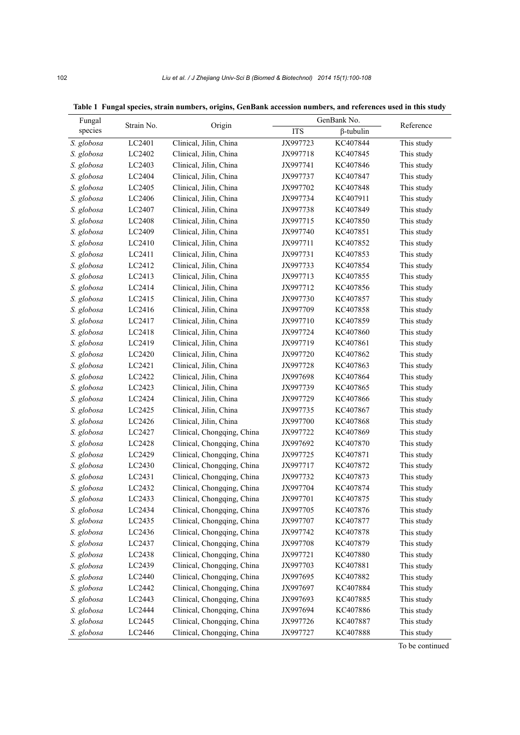| Fungal     | Strain No. | Origin                     |            | GenBank No.      |            |
|------------|------------|----------------------------|------------|------------------|------------|
| species    |            |                            | <b>ITS</b> | $\beta$ -tubulin | Reference  |
| S. globosa | LC2401     | Clinical, Jilin, China     | JX997723   | KC407844         | This study |
| S. globosa | LC2402     | Clinical, Jilin, China     | JX997718   | KC407845         | This study |
| S. globosa | LC2403     | Clinical, Jilin, China     | JX997741   | KC407846         | This study |
| S. globosa | LC2404     | Clinical, Jilin, China     | JX997737   | KC407847         | This study |
| S. globosa | LC2405     | Clinical, Jilin, China     | JX997702   | KC407848         | This study |
| S. globosa | LC2406     | Clinical, Jilin, China     | JX997734   | KC407911         | This study |
| S. globosa | LC2407     | Clinical, Jilin, China     | JX997738   | KC407849         | This study |
| S. globosa | LC2408     | Clinical, Jilin, China     | JX997715   | KC407850         | This study |
| S. globosa | LC2409     | Clinical, Jilin, China     | JX997740   | KC407851         | This study |
| S. globosa | LC2410     | Clinical, Jilin, China     | JX997711   | KC407852         | This study |
| S. globosa | LC2411     | Clinical, Jilin, China     | JX997731   | KC407853         | This study |
| S. globosa | LC2412     | Clinical, Jilin, China     | JX997733   | KC407854         | This study |
| S. globosa | LC2413     | Clinical, Jilin, China     | JX997713   | KC407855         | This study |
| S. globosa | LC2414     | Clinical, Jilin, China     | JX997712   | KC407856         | This study |
| S. globosa | LC2415     | Clinical, Jilin, China     | JX997730   | KC407857         | This study |
| S. globosa | LC2416     | Clinical, Jilin, China     | JX997709   | KC407858         | This study |
| S. globosa | LC2417     | Clinical, Jilin, China     | JX997710   | KC407859         | This study |
| S. globosa | LC2418     | Clinical, Jilin, China     | JX997724   | KC407860         | This study |
| S. globosa | LC2419     | Clinical, Jilin, China     | JX997719   | KC407861         | This study |
| S. globosa | LC2420     | Clinical, Jilin, China     | JX997720   | KC407862         | This study |
| S. globosa | LC2421     | Clinical, Jilin, China     | JX997728   | KC407863         | This study |
| S. globosa | LC2422     | Clinical, Jilin, China     | JX997698   | KC407864         | This study |
| S. globosa | LC2423     | Clinical, Jilin, China     | JX997739   | KC407865         | This study |
| S. globosa | LC2424     | Clinical, Jilin, China     | JX997729   | KC407866         | This study |
| S. globosa | LC2425     | Clinical, Jilin, China     | JX997735   | KC407867         | This study |
| S. globosa | LC2426     | Clinical, Jilin, China     | JX997700   | KC407868         | This study |
| S. globosa | LC2427     | Clinical, Chongqing, China | JX997722   | KC407869         | This study |
| S. globosa | LC2428     | Clinical, Chongqing, China | JX997692   | KC407870         | This study |
| S. globosa | LC2429     | Clinical, Chongqing, China | JX997725   | KC407871         | This study |
| S. globosa | LC2430     | Clinical, Chongqing, China | JX997717   | KC407872         | This study |
| S. globosa | LC2431     | Clinical, Chongqing, China | JX997732   | KC407873         | This study |
| S. globosa | LC2432     | Clinical, Chongqing, China | JX997704   | KC407874         | This study |
| S. globosa | LC2433     | Clinical, Chongqing, China | JX997701   | KC407875         | This study |
| S. globosa | LC2434     | Clinical, Chongqing, China | JX997705   | KC407876         | This study |
| S. globosa | LC2435     | Clinical, Chongqing, China | JX997707   | KC407877         | This study |
| S. globosa | LC2436     | Clinical, Chongqing, China | JX997742   | KC407878         | This study |
| S. globosa | LC2437     | Clinical, Chongqing, China | JX997708   | KC407879         | This study |
| S. globosa | LC2438     | Clinical, Chongqing, China | JX997721   | KC407880         | This study |
| S. globosa | LC2439     | Clinical, Chongqing, China | JX997703   | KC407881         | This study |
| S. globosa | LC2440     | Clinical, Chongqing, China | JX997695   | KC407882         | This study |
| S. globosa | LC2442     | Clinical, Chongqing, China | JX997697   | KC407884         | This study |
| S. globosa | LC2443     | Clinical, Chongqing, China | JX997693   | KC407885         | This study |
| S. globosa | LC2444     | Clinical, Chongqing, China | JX997694   | KC407886         | This study |
| S. globosa | LC2445     | Clinical, Chongqing, China | JX997726   | KC407887         | This study |
| S. globosa | LC2446     | Clinical, Chongqing, China | JX997727   | KC407888         | This study |

**Table 1 Fungal species, strain numbers, origins, GenBank accession numbers, and references used in this study**

To be continued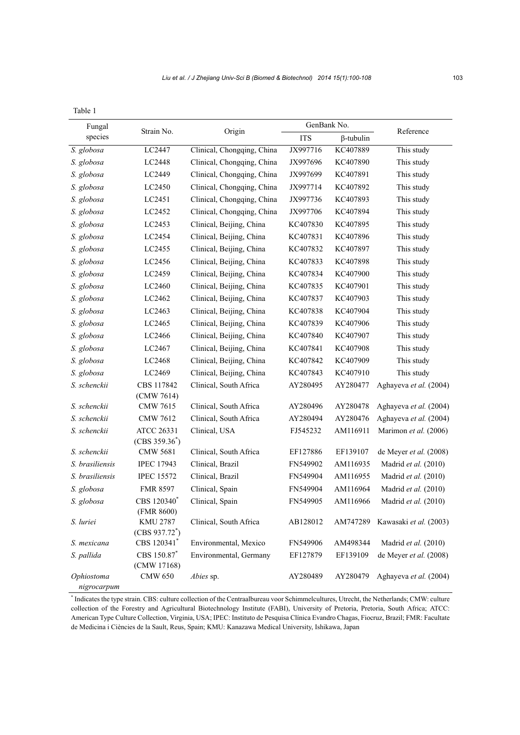| ×<br>۰,<br>×<br>I |  |
|-------------------|--|

| Fungal                    |                                       |                            | GenBank No. |                  |                        |  |
|---------------------------|---------------------------------------|----------------------------|-------------|------------------|------------------------|--|
| species                   | Strain No.                            | Origin                     | <b>ITS</b>  | $\beta$ -tubulin | Reference              |  |
| S. globosa                | LC2447                                | Clinical, Chongqing, China | JX997716    | KC407889         | This study             |  |
| S. globosa                | LC2448                                | Clinical, Chongqing, China | JX997696    | KC407890         | This study             |  |
| S. globosa                | LC2449                                | Clinical, Chongqing, China | JX997699    | KC407891         | This study             |  |
| S. globosa                | LC2450                                | Clinical, Chongqing, China | JX997714    | KC407892         | This study             |  |
| S. globosa                | LC2451                                | Clinical, Chongqing, China | JX997736    | KC407893         | This study             |  |
| S. globosa                | LC2452                                | Clinical, Chongqing, China | JX997706    | KC407894         | This study             |  |
| S. globosa                | LC2453                                | Clinical, Beijing, China   | KC407830    | KC407895         | This study             |  |
| S. globosa                | LC2454                                | Clinical, Beijing, China   | KC407831    | KC407896         | This study             |  |
| S. globosa                | LC2455                                | Clinical, Beijing, China   | KC407832    | KC407897         | This study             |  |
| S. globosa                | LC2456                                | Clinical, Beijing, China   | KC407833    | KC407898         | This study             |  |
| S. globosa                | LC2459                                | Clinical, Beijing, China   | KC407834    | KC407900         | This study             |  |
| S. globosa                | LC2460                                | Clinical, Beijing, China   | KC407835    | KC407901         | This study             |  |
| S. globosa                | LC2462                                | Clinical, Beijing, China   | KC407837    | KC407903         | This study             |  |
| S. globosa                | LC2463                                | Clinical, Beijing, China   | KC407838    | KC407904         | This study             |  |
| S. globosa                | LC2465                                | Clinical, Beijing, China   | KC407839    | KC407906         | This study             |  |
| S. globosa                | LC2466                                | Clinical, Beijing, China   | KC407840    | KC407907         | This study             |  |
| S. globosa                | LC2467                                | Clinical, Beijing, China   | KC407841    | KC407908         | This study             |  |
| S. globosa                | LC2468                                | Clinical, Beijing, China   | KC407842    | KC407909         | This study             |  |
| S. globosa                | LC2469                                | Clinical, Beijing, China   | KC407843    | KC407910         | This study             |  |
| S. schenckii              | CBS 117842                            | Clinical, South Africa     | AY280495    | AY280477         | Aghayeva et al. (2004) |  |
|                           | (CMW 7614)                            |                            |             |                  |                        |  |
| S. schenckii              | <b>CMW 7615</b>                       | Clinical, South Africa     | AY280496    | AY280478         | Aghayeva et al. (2004) |  |
| S. schenckii              | <b>CMW 7612</b>                       | Clinical, South Africa     | AY280494    | AY280476         | Aghayeva et al. (2004) |  |
| S. schenckii              | <b>ATCC 26331</b><br>$(CBS 359.36^*)$ | Clinical, USA              | FJ545232    | AM116911         | Marimon et al. (2006)  |  |
| S. schenckii              | <b>CMW 5681</b>                       | Clinical, South Africa     | EF127886    | EF139107         | de Meyer et al. (2008) |  |
| S. brasiliensis           | <b>IPEC 17943</b>                     | Clinical, Brazil           | FN549902    | AM116935         | Madrid et al. (2010)   |  |
| S. brasiliensis           | <b>IPEC 15572</b>                     | Clinical, Brazil           | FN549904    | AM116955         | Madrid et al. (2010)   |  |
| S. globosa                | <b>FMR 8597</b>                       | Clinical, Spain            | FN549904    | AM116964         | Madrid et al. (2010)   |  |
| S. globosa                | CBS 120340 <sup>*</sup><br>(FMR 8600) | Clinical, Spain            | FN549905    | AM116966         | Madrid et al. (2010)   |  |
| S. luriei                 | <b>KMU 2787</b><br>$(CBS 937.72^*)$   | Clinical, South Africa     | AB128012    | AM747289         | Kawasaki et al. (2003) |  |
| S. mexicana               | CBS 120341*                           | Environmental, Mexico      | FN549906    | AM498344         | Madrid et al. (2010)   |  |
| S. pallida                | CBS 150.87*<br>(CMW 17168)            | Environmental, Germany     | EF127879    | EF139109         | de Meyer et al. (2008) |  |
| Ophiostoma<br>nigrocarpum | <b>CMW 650</b>                        | Abies sp.                  | AY280489    | AY280479         | Aghayeva et al. (2004) |  |

\* Indicates the type strain. CBS: culture collection of the Centraalbureau voor Schimmelcultures, Utrecht, the Netherlands; CMW: culture collection of the Forestry and Agricultural Biotechnology Institute (FABI), University of Pretoria, Pretoria, South Africa; ATCC: American Type Culture Collection, Virginia, USA; IPEC: Instituto de Pesquisa Clínica Evandro Chagas, Fiocruz, Brazil; FMR: Facultate de Medicina i Ciències de la Sault, Reus, Spain; KMU: Kanazawa Medical University, Ishikawa, Japan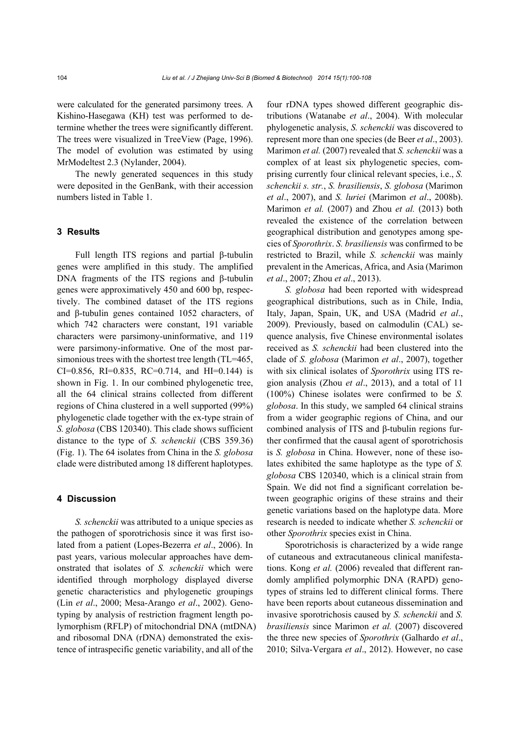were calculated for the generated parsimony trees. A Kishino-Hasegawa (KH) test was performed to determine whether the trees were significantly different. The trees were visualized in TreeView (Page, 1996). The model of evolution was estimated by using MrModeltest 2.3 (Nylander, 2004).

The newly generated sequences in this study were deposited in the GenBank, with their accession numbers listed in Table 1.

#### **3 Results**

Full length ITS regions and partial β-tubulin genes were amplified in this study. The amplified DNA fragments of the ITS regions and β-tubulin genes were approximatively 450 and 600 bp, respectively. The combined dataset of the ITS regions and β-tubulin genes contained 1052 characters, of which 742 characters were constant, 191 variable characters were parsimony-uninformative, and 119 were parsimony-informative. One of the most parsimonious trees with the shortest tree length (TL=465, CI=0.856, RI=0.835, RC=0.714, and HI=0.144) is shown in Fig. 1. In our combined phylogenetic tree, all the 64 clinical strains collected from different regions of China clustered in a well supported (99%) phylogenetic clade together with the ex-type strain of *S. globosa* (CBS 120340). This clade shows sufficient distance to the type of *S. schenckii* (CBS 359.36) (Fig. 1). The 64 isolates from China in the *S. globosa*  clade were distributed among 18 different haplotypes.

#### **4 Discussion**

*S. schenckii* was attributed to a unique species as the pathogen of sporotrichosis since it was first isolated from a patient (Lopes-Bezerra *et al*., 2006). In past years, various molecular approaches have demonstrated that isolates of *S. schenckii* which were identified through morphology displayed diverse genetic characteristics and phylogenetic groupings (Lin *et al*., 2000; Mesa-Arango *et al*., 2002). Genotyping by analysis of restriction fragment length polymorphism (RFLP) of mitochondrial DNA (mtDNA) and ribosomal DNA (rDNA) demonstrated the existence of intraspecific genetic variability, and all of the

four rDNA types showed different geographic distributions (Watanabe *et al*., 2004). With molecular phylogenetic analysis, *S. schenckii* was discovered to represent more than one species (de Beer *et al*., 2003). Marimon *et al.* (2007) revealed that *S. schenckii* was a complex of at least six phylogenetic species, comprising currently four clinical relevant species, i.e., *S. schenckii s. str.*, *S. brasiliensis*, *S. globosa* (Marimon *et al*., 2007), and *S. luriei* (Marimon *et al*., 2008b). Marimon *et al.* (2007) and Zhou *et al.* (2013) both revealed the existence of the correlation between geographical distribution and genotypes among species of *Sporothrix*. *S. brasiliensis* was confirmed to be restricted to Brazil, while *S. schenckii* was mainly prevalent in the Americas, Africa, and Asia (Marimon *et al*., 2007; Zhou *et al*., 2013).

*S. globosa* had been reported with widespread geographical distributions, such as in Chile, India, Italy, Japan, Spain, UK, and USA (Madrid *et al*., 2009). Previously, based on calmodulin (CAL) sequence analysis, five Chinese environmental isolates received as *S. schenckii* had been clustered into the clade of *S. globosa* (Marimon *et al*., 2007), together with six clinical isolates of *Sporothrix* using ITS region analysis (Zhou *et al*., 2013), and a total of 11 (100%) Chinese isolates were confirmed to be *S. globosa*. In this study, we sampled 64 clinical strains from a wider geographic regions of China, and our combined analysis of ITS and β-tubulin regions further confirmed that the causal agent of sporotrichosis is *S. globosa* in China. However, none of these isolates exhibited the same haplotype as the type of *S. globosa* CBS 120340, which is a clinical strain from Spain. We did not find a significant correlation between geographic origins of these strains and their genetic variations based on the haplotype data. More research is needed to indicate whether *S. schenckii* or other *Sporothrix* species exist in China.

Sporotrichosis is characterized by a wide range of cutaneous and extracutaneous clinical manifestations. Kong *et al.* (2006) revealed that different randomly amplified polymorphic DNA (RAPD) genotypes of strains led to different clinical forms. There have been reports about cutaneous dissemination and invasive sporotrichosis caused by *S. schenckii* and *S. brasiliensis* since Marimon *et al.* (2007) discovered the three new species of *Sporothrix* (Galhardo *et al*., 2010; Silva-Vergara *et al*., 2012). However, no case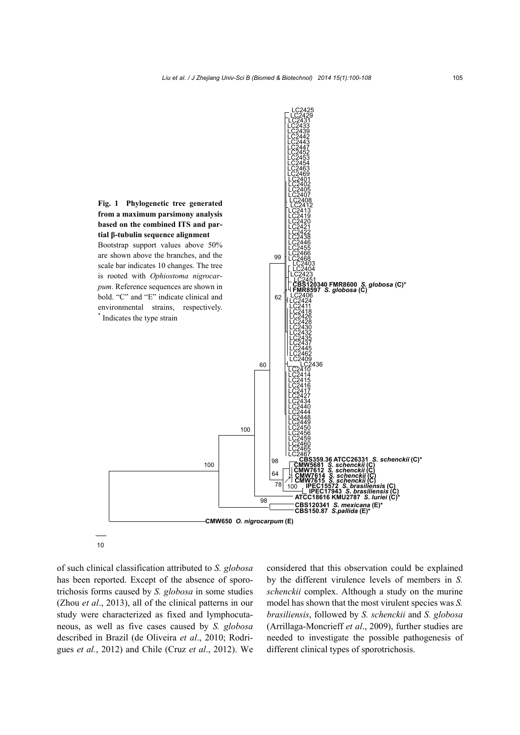

10

of such clinical classification attributed to *S. globosa* has been reported. Except of the absence of sporotrichosis forms caused by *S. globosa* in some studies (Zhou *et al*., 2013), all of the clinical patterns in our study were characterized as fixed and lymphocutaneous, as well as five cases caused by *S. globosa* described in Brazil (de Oliveira *et al*., 2010; Rodrigues *et al.*, 2012) and Chile (Cruz *et al*., 2012). We considered that this observation could be explained by the different virulence levels of members in *S. schenckii* complex. Although a study on the murine model has shown that the most virulent species was *S. brasiliensis*, followed by *S. schenckii* and *S. globosa* (Arrillaga-Moncrieff *et al*., 2009), further studies are needed to investigate the possible pathogenesis of different clinical types of sporotrichosis.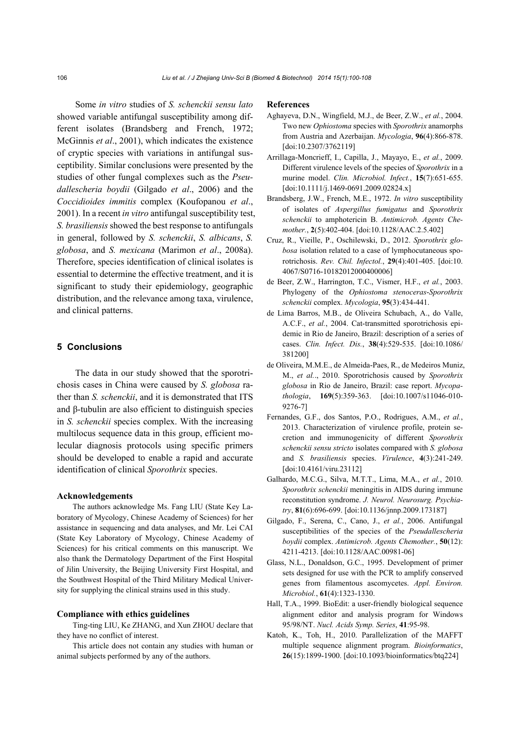Some *in vitro* studies of *S. schenckii sensu lato* showed variable antifungal susceptibility among different isolates (Brandsberg and French, 1972; McGinnis *et al*., 2001), which indicates the existence of cryptic species with variations in antifungal susceptibility. Similar conclusions were presented by the studies of other fungal complexes such as the *Pseudallescheria boydii* (Gilgado *et al*., 2006) and the *Coccidioides immitis* complex (Koufopanou *et al*., 2001). In a recent *in vitro* antifungal susceptibility test, *S. brasiliensis* showed the best response to antifungals in general, followed by *S. schenckii*, *S. albicans*, *S. globosa*, and *S. mexicana* (Marimon *et al*., 2008a). Therefore, species identification of clinical isolates is essential to determine the effective treatment, and it is significant to study their epidemiology, geographic distribution, and the relevance among taxa, virulence, and clinical patterns.

#### **5 Conclusions**

The data in our study showed that the sporotrichosis cases in China were caused by *S. globosa* rather than *S. schenckii*, and it is demonstrated that ITS and β-tubulin are also efficient to distinguish species in *S. schenckii* species complex. With the increasing multilocus sequence data in this group, efficient molecular diagnosis protocols using specific primers should be developed to enable a rapid and accurate identification of clinical *Sporothrix* species.

#### **Acknowledgements**

The authors acknowledge Ms. Fang LIU (State Key Laboratory of Mycology, Chinese Academy of Sciences) for her assistance in sequencing and data analyses, and Mr. Lei CAI (State Key Laboratory of Mycology, Chinese Academy of Sciences) for his critical comments on this manuscript. We also thank the Dermatology Department of the First Hospital of Jilin University, the Beijing University First Hospital, and the Southwest Hospital of the Third Military Medical University for supplying the clinical strains used in this study.

#### **Compliance with ethics guidelines**

Ting-ting LIU, Ke ZHANG, and Xun ZHOU declare that they have no conflict of interest.

This article does not contain any studies with human or animal subjects performed by any of the authors.

#### **References**

- Aghayeva, D.N., Wingfield, M.J., de Beer, Z.W., *et al.*, 2004. Two new *Ophiostoma* species with *Sporothrix* anamorphs from Austria and Azerbaijan. *Mycologia*, **96**(4):866-878. [doi:10.2307/3762119]
- Arrillaga-Moncrieff, I., Capilla, J., Mayayo, E., *et al.*, 2009. Different virulence levels of the species of *Sporothrix* in a murine model. *Clin. Microbiol. Infect.*, **15**(7):651-655. [doi:10.1111/j.1469-0691.2009.02824.x]
- Brandsberg, J.W., French, M.E., 1972. *In vitro* susceptibility of isolates of *Aspergillus fumigatus* and *Sporothrix schenckii* to amphotericin B. *Antimicrob. Agents Chemother.*, **2**(5):402-404. [doi:10.1128/AAC.2.5.402]
- Cruz, R., Vieille, P., Oschilewski, D., 2012. *Sporothrix globosa* isolation related to a case of lymphocutaneous sporotrichosis. *Rev. Chil. Infectol.*, **29**(4):401-405. [doi:10. 4067/S0716-10182012000400006]
- de Beer, Z.W., Harrington, T.C., Vismer, H.F., *et al.*, 2003. Phylogeny of the *Ophiostoma stenoceras*-*Sporothrix schenckii* complex. *Mycologia*, **95**(3):434-441.
- de Lima Barros, M.B., de Oliveira Schubach, A., do Valle, A.C.F., *et al.*, 2004. Cat-transmitted sporotrichosis epidemic in Rio de Janeiro, Brazil: description of a series of cases. *Clin. Infect. Dis.*, **38**(4):529-535. [doi:10.1086/ 381200]
- de Oliveira, M.M.E., de Almeida-Paes, R., de Medeiros Muniz, M., *et al.*., 2010. Sporotrichosis caused by *Sporothrix globosa* in Rio de Janeiro, Brazil: case report. *Mycopathologia*, **169**(5):359-363. [doi:10.1007/s11046-010- 9276-7]
- Fernandes, G.F., dos Santos, P.O., Rodrigues, A.M., *et al.*, 2013. Characterization of virulence profile, protein secretion and immunogenicity of different *Sporothrix schenckii sensu stricto* isolates compared with *S. globosa* and *S. brasiliensis* species. *Virulence*, **4**(3):241-249. [doi:10.4161/viru.23112]
- Galhardo, M.C.G., Silva, M.T.T., Lima, M.A., *et al.*, 2010. *Sporothrix schenckii* meningitis in AIDS during immune reconstitution syndrome. *J. Neurol. Neurosurg. Psychiatry*, **81**(6):696-699. [doi:10.1136/jnnp.2009.173187]
- Gilgado, F., Serena, C., Cano, J., *et al.*, 2006. Antifungal susceptibilities of the species of the *Pseudallescheria boydii* complex. *Antimicrob. Agents Chemother.*, **50**(12): 4211-4213. [doi:10.1128/AAC.00981-06]
- Glass, N.L., Donaldson, G.C., 1995. Development of primer sets designed for use with the PCR to amplify conserved genes from filamentous ascomycetes. *Appl. Environ. Microbiol.*, **61**(4):1323-1330.
- Hall, T.A., 1999. BioEdit: a user-friendly biological sequence alignment editor and analysis program for Windows 95/98/NT. *Nucl. Acids Symp. Series*, **41**:95-98.
- Katoh, K., Toh, H., 2010. Parallelization of the MAFFT multiple sequence alignment program. *Bioinformatics*, **26**(15):1899-1900. [doi:10.1093/bioinformatics/btq224]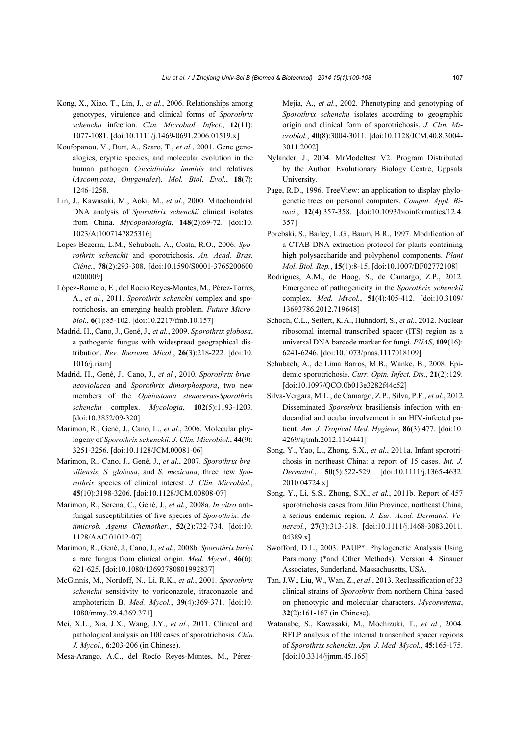- Kong, X., Xiao, T., Lin, J., *et al.*, 2006. Relationships among genotypes, virulence and clinical forms of *Sporothrix schenckii* infection. *Clin. Microbiol. Infect.*, **12**(11): 1077-1081. [doi:10.1111/j.1469-0691.2006.01519.x]
- Koufopanou, V., Burt, A., Szaro, T., *et al.*, 2001. Gene genealogies, cryptic species, and molecular evolution in the human pathogen *Coccidioides immitis* and relatives (*Ascomycota*, *Onygenales*). *Mol. Biol. Evol.*, **18**(7): 1246-1258.
- Lin, J., Kawasaki, M., Aoki, M., *et al.*, 2000. Mitochondrial DNA analysis of *Sporothrix schenckii* clinical isolates from China. *Mycopathologia*, **148**(2):69-72. [doi:10. 1023/A:1007147825316]
- Lopes-Bezerra, L.M., Schubach, A., Costa, R.O., 2006. *Sporothrix schenckii* and sporotrichosis. *An. Acad. Bras. Ciênc.*, **78**(2):293-308. [doi:10.1590/S0001-3765200600 0200009]
- López-Romero, E., del Rocío Reyes-Montes, M., Pérez-Torres, A., *et al.*, 2011. *Sporothrix schenckii* complex and sporotrichosis, an emerging health problem. *Future Microbiol.*, **6**(1):85-102. [doi:10.2217/fmb.10.157]
- Madrid, H., Cano, J., Gené, J., *et al.*, 2009. *Sporothrix globosa*, a pathogenic fungus with widespread geographical distribution. *Rev. Iberoam. Micol.*, **26**(3):218-222. [doi:10. 1016/j.riam]
- Madrid, H., Gené, J., Cano, J., *et al.*, 2010. *Sporothrix brunneoviolacea* and *Sporothrix dimorphospora*, two new members of the *Ophiostoma stenoceras*-*Sporothrix schenckii* complex. *Mycologia*, **102**(5):1193-1203. [doi:10.3852/09-320]
- Marimon, R., Gené, J., Cano, L., *et al.*, 2006. Molecular phylogeny of *Sporothrix schenckii*. *J. Clin. Microbiol.*, **44**(9): 3251-3256. [doi:10.1128/JCM.00081-06]
- Marimon, R., Cano, J., Gené, J., *et al.*, 2007. *Sporothrix brasiliensis*, *S. globosa*, and *S. mexicana*, three new *Sporothrix* species of clinical interest. *J. Clin. Microbiol.*, **45**(10):3198-3206. [doi:10.1128/JCM.00808-07]
- Marimon, R., Serena, C., Gené, J., *et al.*, 2008a. *In vitro* antifungal susceptibilities of five species of *Sporothrix*. *Antimicrob. Agents Chemother.*, **52**(2):732-734. [doi:10. 1128/AAC.01012-07]
- Marimon, R., Gené, J., Cano, J., *et al.*, 2008b. *Sporothrix luriei*: a rare fungus from clinical origin. *Med. Mycol.*, **46**(6): 621-625. [doi:10.1080/13693780801992837]
- McGinnis, M., Nordoff, N., Li, R.K., *et al.*, 2001. *Sporothrix schenckii* sensitivity to voriconazole, itraconazole and amphotericin B. *Med. Mycol.*, **39**(4):369-371. [doi:10. 1080/mmy.39.4.369.371]
- Mei, X.L., Xia, J.X., Wang, J.Y., *et al.*, 2011. Clinical and pathological analysis on 100 cases of sporotrichosis. *Chin. J. Mycol.*, **6**:203-206 (in Chinese).
- Mesa-Arango, A.C., del Rocío Reyes-Montes, M., Pérez-

Mejía, A., *et al.*, 2002. Phenotyping and genotyping of *Sporothrix schenckii* isolates according to geographic origin and clinical form of sporotrichosis. *J. Clin. Microbiol.*, **40**(8):3004-3011. [doi:10.1128/JCM.40.8.3004- 3011.2002]

- Nylander, J., 2004. MrModeltest V2. Program Distributed by the Author. Evolutionary Biology Centre, Uppsala University.
- Page, R.D., 1996. TreeView: an application to display phylogenetic trees on personal computers. *Comput. Appl. Biosci.*, **12**(4):357-358. [doi:10.1093/bioinformatics/12.4. 357]
- Porebski, S., Bailey, L.G., Baum, B.R., 1997. Modification of a CTAB DNA extraction protocol for plants containing high polysaccharide and polyphenol components. *Plant Mol. Biol. Rep.*, **15**(1):8-15. [doi:10.1007/BF02772108]
- Rodrigues, A.M., de Hoog, S., de Camargo, Z.P., 2012. Emergence of pathogenicity in the *Sporothrix schenckii*  complex. *Med. Mycol.*, **51**(4):405-412. [doi:10.3109/ 13693786.2012.719648]
- Schoch, C.L., Seifert, K.A., Huhndorf, S., *et al.*, 2012. Nuclear ribosomal internal transcribed spacer (ITS) region as a universal DNA barcode marker for fungi. *PNAS*, **109**(16): 6241-6246. [doi:10.1073/pnas.1117018109]
- Schubach, A., de Lima Barros, M.B., Wanke, B., 2008. Epidemic sporotrichosis. *Curr. Opin. Infect. Dis.*, **21**(2):129. [doi:10.1097/QCO.0b013e3282f44c52]
- Silva-Vergara, M.L., de Camargo, Z.P., Silva, P.F., *et al.*, 2012. Disseminated *Sporothrix* brasiliensis infection with endocardial and ocular involvement in an HIV-infected patient. *Am. J. Tropical Med. Hygiene*, **86**(3):477. [doi:10. 4269/ajtmh.2012.11-0441]
- Song, Y., Yao, L., Zhong, S.X., *et al.*, 2011a. Infant sporotrichosis in northeast China: a report of 15 cases. *Int. J. Dermatol.*, **50**(5):522-529. [doi:10.1111/j.1365-4632. 2010.04724.x]
- Song, Y., Li, S.S., Zhong, S.X., *et al.*, 2011b. Report of 457 sporotrichosis cases from Jilin Province, northeast China, a serious endemic region. *J. Eur. Acad. Dermatol. Venereol.*, **27**(3):313-318. [doi:10.1111/j.1468-3083.2011. 04389.x]
- Swofford, D.L., 2003. PAUP\*. Phylogenetic Analysis Using Parsimony (\*and Other Methods). Version 4. Sinauer Associates, Sunderland, Massachusetts, USA.
- Tan, J.W., Liu, W., Wan, Z., *et al.*, 2013. Reclassification of 33 clinical strains of *Sporothrix* from northern China based on phenotypic and molecular characters. *Mycosystema*, **32**(2):161-167 (in Chinese).
- Watanabe, S., Kawasaki, M., Mochizuki, T., *et al.*, 2004. RFLP analysis of the internal transcribed spacer regions of *Sporothrix schenckii*. *Jpn. J. Med. Mycol.*, **45**:165-175. [doi:10.3314/jjmm.45.165]